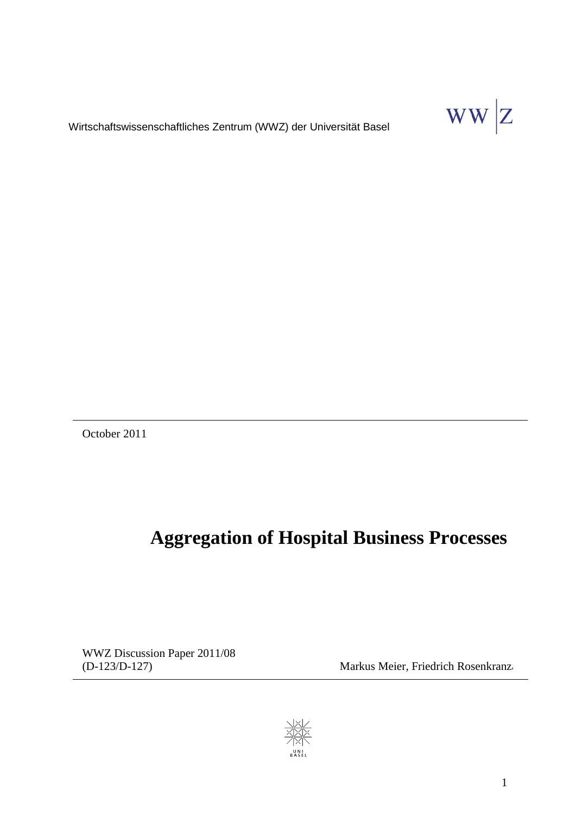$WW|Z$ 

Wirtschaftswissenschaftliches Zentrum (WWZ) der Universität Basel

October 2011

# **Aggregation of Hospital Business Processes**

WWZ Discussion Paper 2011/08

(D-123/D-127) Markus Meier, Friedrich Rosenkranz

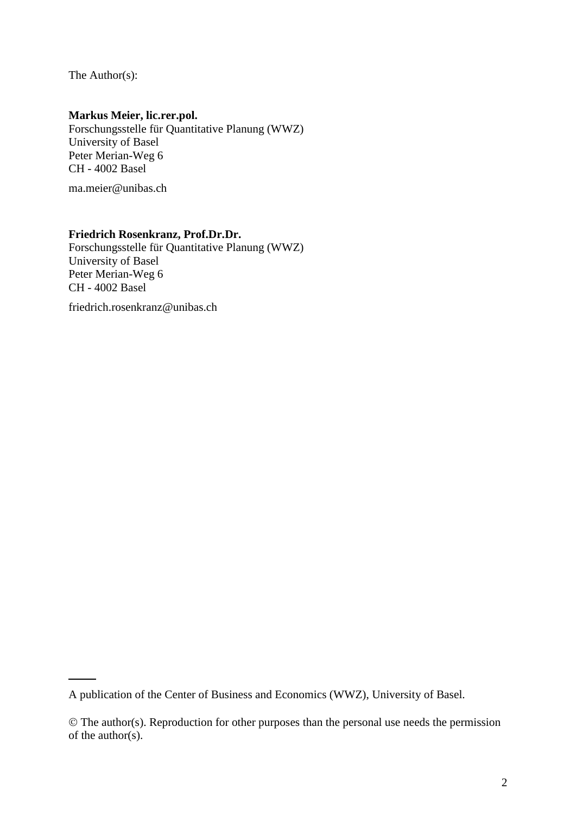The Author(s):

## **Markus Meier, lic.rer.pol.**

Forschungsstelle für Quantitative Planung (WWZ) University of Basel Peter Merian-Weg 6 CH - 4002 Basel

[ma.meier@unibas.ch](mailto:ma.meier@unibas.ch)

# **Friedrich Rosenkranz, Prof.Dr.Dr.**

Forschungsstelle für Quantitative Planung (WWZ) University of Basel Peter Merian-Weg 6 CH - 4002 Basel

friedrich.rosenkranz@unibas.ch

A publication of the Center of Business and Economics (WWZ), University of Basel.

The author(s). Reproduction for other purposes than the personal use needs the permission of the author(s).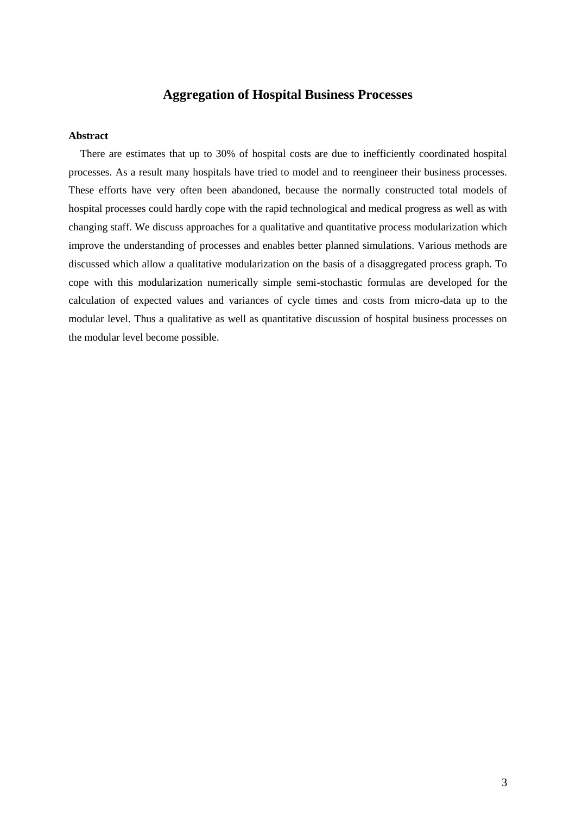# **Aggregation of Hospital Business Processes**

#### **Abstract**

There are estimates that up to 30% of hospital costs are due to inefficiently coordinated hospital processes. As a result many hospitals have tried to model and to reengineer their business processes. These efforts have very often been abandoned, because the normally constructed total models of hospital processes could hardly cope with the rapid technological and medical progress as well as with changing staff. We discuss approaches for a qualitative and quantitative process modularization which improve the understanding of processes and enables better planned simulations. Various methods are discussed which allow a qualitative modularization on the basis of a disaggregated process graph. To cope with this modularization numerically simple semi-stochastic formulas are developed for the calculation of expected values and variances of cycle times and costs from micro-data up to the modular level. Thus a qualitative as well as quantitative discussion of hospital business processes on the modular level become possible.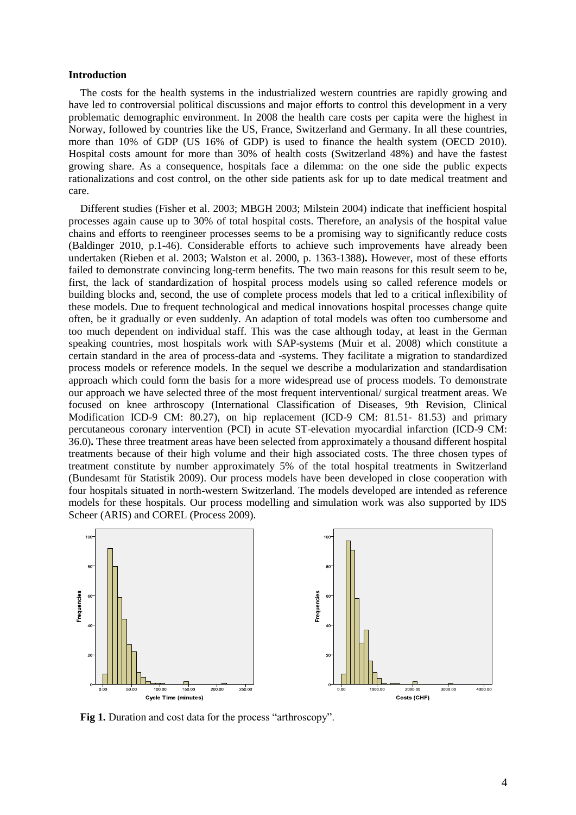#### **Introduction**

The costs for the health systems in the industrialized western countries are rapidly growing and have led to controversial political discussions and major efforts to control this development in a very problematic demographic environment. In 2008 the health care costs per capita were the highest in Norway, followed by countries like the US, France, Switzerland and Germany. In all these countries, more than 10% of GDP (US 16% of GDP) is used to finance the health system (OECD 2010). Hospital costs amount for more than 30% of health costs (Switzerland 48%) and have the fastest growing share. As a consequence, hospitals face a dilemma: on the one side the public expects rationalizations and cost control, on the other side patients ask for up to date medical treatment and care.

Different studies (Fisher et al. 2003; MBGH 2003; Milstein 2004) indicate that inefficient hospital processes again cause up to 30% of total hospital costs. Therefore, an analysis of the hospital value chains and efforts to reengineer processes seems to be a promising way to significantly reduce costs (Baldinger 2010, p.1-46). Considerable efforts to achieve such improvements have already been undertaken (Rieben et al. 2003; Walston et al. 2000, p. 1363-1388)**.** However, most of these efforts failed to demonstrate convincing long-term benefits. The two main reasons for this result seem to be, first, the lack of standardization of hospital process models using so called reference models or building blocks and, second, the use of complete process models that led to a critical inflexibility of these models. Due to frequent technological and medical innovations hospital processes change quite often, be it gradually or even suddenly. An adaption of total models was often too cumbersome and too much dependent on individual staff. This was the case although today, at least in the German speaking countries, most hospitals work with SAP-systems (Muir et al. 2008) which constitute a certain standard in the area of process-data and -systems. They facilitate a migration to standardized process models or reference models. In the sequel we describe a modularization and standardisation approach which could form the basis for a more widespread use of process models. To demonstrate our approach we have selected three of the most frequent interventional/ surgical treatment areas. We focused on knee arthroscopy (International Classification of Diseases, 9th Revision, Clinical Modification ICD-9 CM: 80.27), on hip replacement (ICD-9 CM: 81.51- 81.53) and primary percutaneous coronary intervention (PCI) in acute ST-elevation myocardial infarction (ICD-9 CM: 36.0)**.** These three treatment areas have been selected from approximately a thousand different hospital treatments because of their high volume and their high associated costs. The three chosen types of treatment constitute by number approximately 5% of the total hospital treatments in Switzerland (Bundesamt für Statistik 2009). Our process models have been developed in close cooperation with four hospitals situated in north-western Switzerland. The models developed are intended as reference models for these hospitals. Our process modelling and simulation work was also supported by IDS Scheer (ARIS) and COREL (Process 2009).



**Fig 1.** Duration and cost data for the process "arthroscopy".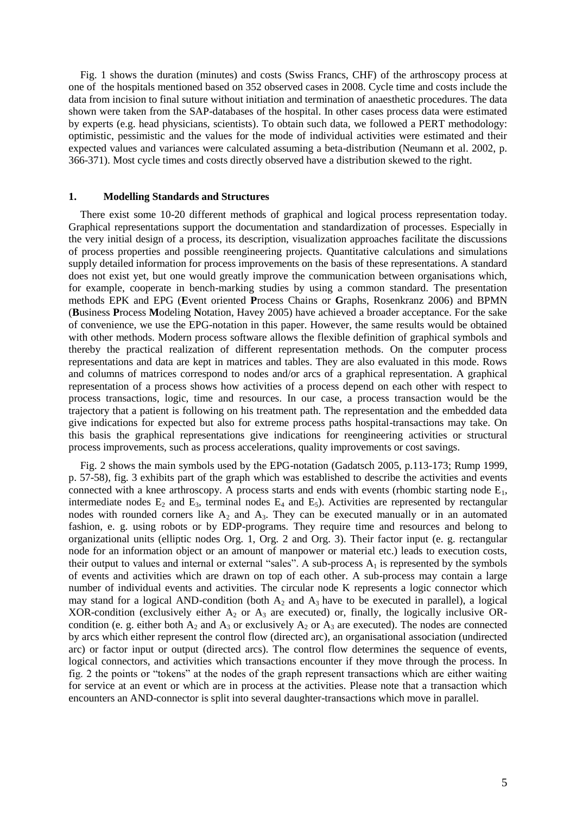Fig. 1 shows the duration (minutes) and costs (Swiss Francs, CHF) of the arthroscopy process at one of the hospitals mentioned based on 352 observed cases in 2008. Cycle time and costs include the data from incision to final suture without initiation and termination of anaesthetic procedures. The data shown were taken from the SAP-databases of the hospital. In other cases process data were estimated by experts (e.g. head physicians, scientists). To obtain such data, we followed a PERT methodology: optimistic, pessimistic and the values for the mode of individual activities were estimated and their expected values and variances were calculated assuming a beta-distribution (Neumann et al. 2002, p. 366-371). Most cycle times and costs directly observed have a distribution skewed to the right.

## **1. Modelling Standards and Structures**

There exist some 10-20 different methods of graphical and logical process representation today. Graphical representations support the documentation and standardization of processes. Especially in the very initial design of a process, its description, visualization approaches facilitate the discussions of process properties and possible reengineering projects. Quantitative calculations and simulations supply detailed information for process improvements on the basis of these representations. A standard does not exist yet, but one would greatly improve the communication between organisations which, for example, cooperate in bench-marking studies by using a common standard. The presentation methods EPK and EPG (**E**vent oriented **P**rocess Chains or **G**raphs, Rosenkranz 2006) and BPMN (**B**usiness **P**rocess **M**odeling **N**otation, Havey 2005) have achieved a broader acceptance. For the sake of convenience, we use the EPG-notation in this paper. However, the same results would be obtained with other methods. Modern process software allows the flexible definition of graphical symbols and thereby the practical realization of different representation methods. On the computer process representations and data are kept in matrices and tables. They are also evaluated in this mode. Rows and columns of matrices correspond to nodes and/or arcs of a graphical representation. A graphical representation of a process shows how activities of a process depend on each other with respect to process transactions, logic, time and resources. In our case, a process transaction would be the trajectory that a patient is following on his treatment path. The representation and the embedded data give indications for expected but also for extreme process paths hospital-transactions may take. On this basis the graphical representations give indications for reengineering activities or structural process improvements, such as process accelerations, quality improvements or cost savings.

Fig. 2 shows the main symbols used by the EPG-notation (Gadatsch 2005, p.113-173; Rump 1999, p. 57-58), fig. 3 exhibits part of the graph which was established to describe the activities and events connected with a knee arthroscopy. A process starts and ends with events (rhombic starting node  $E_1$ , intermediate nodes  $E_2$  and  $E_3$ , terminal nodes  $E_4$  and  $E_5$ ). Activities are represented by rectangular nodes with rounded corners like  $A_2$  and  $A_3$ . They can be executed manually or in an automated fashion, e. g. using robots or by EDP-programs. They require time and resources and belong to organizational units (elliptic nodes Org. 1, Org. 2 and Org. 3). Their factor input (e. g. rectangular node for an information object or an amount of manpower or material etc.) leads to execution costs, their output to values and internal or external "sales". A sub-process  $A_1$  is represented by the symbols of events and activities which are drawn on top of each other. A sub-process may contain a large number of individual events and activities. The circular node K represents a logic connector which may stand for a logical AND-condition (both  $A_2$  and  $A_3$  have to be executed in parallel), a logical XOR-condition (exclusively either  $A_2$  or  $A_3$  are executed) or, finally, the logically inclusive ORcondition (e. g. either both  $A_2$  and  $A_3$  or exclusively  $A_2$  or  $A_3$  are executed). The nodes are connected by arcs which either represent the control flow (directed arc), an organisational association (undirected arc) or factor input or output (directed arcs). The control flow determines the sequence of events, logical connectors, and activities which transactions encounter if they move through the process. In fig. 2 the points or "tokens" at the nodes of the graph represent transactions which are either waiting for service at an event or which are in process at the activities. Please note that a transaction which encounters an AND-connector is split into several daughter-transactions which move in parallel.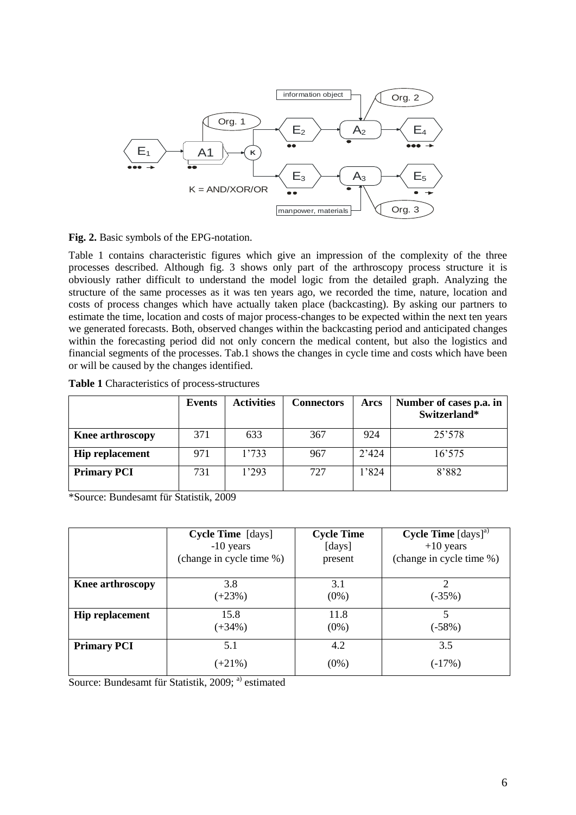

**Fig. 2.** Basic symbols of the EPG-notation.

Table 1 contains characteristic figures which give an impression of the complexity of the three processes described. Although fig. 3 shows only part of the arthroscopy process structure it is obviously rather difficult to understand the model logic from the detailed graph. Analyzing the structure of the same processes as it was ten years ago, we recorded the time, nature, location and costs of process changes which have actually taken place (backcasting). By asking our partners to estimate the time, location and costs of major process-changes to be expected within the next ten years we generated forecasts. Both, observed changes within the backcasting period and anticipated changes within the forecasting period did not only concern the medical content, but also the logistics and financial segments of the processes. Tab.1 shows the changes in cycle time and costs which have been or will be caused by the changes identified.

| Table 1 Characteristics of process-structures |
|-----------------------------------------------|
|-----------------------------------------------|

|                         | Events | <b>Activities</b> | <b>Connectors</b> | Arcs  | Number of cases p.a. in<br>Switzerland* |
|-------------------------|--------|-------------------|-------------------|-------|-----------------------------------------|
| <b>Knee arthroscopy</b> | 371    | 633               | 367               | 924   | 25'578                                  |
| <b>Hip replacement</b>  | 971    | 1'733             | 967               | 2'424 | 16'575                                  |
| <b>Primary PCI</b>      | 731    | 1'293             | 727               | 1'824 | 8'882                                   |

\*Source: Bundesamt für Statistik, 2009

|                        | <b>Cycle Time</b> [days] | <b>Cycle Time</b> | <b>Cycle Time</b> $[days]^a$ |
|------------------------|--------------------------|-------------------|------------------------------|
|                        | $-10$ years              | [days]            | $+10$ years                  |
|                        | (change in cycle time %) | present           | (change in cycle time %)     |
| Knee arthroscopy       | 3.8                      | 3.1               | $\overline{2}$               |
|                        | $(+23%)$                 | $(0\%)$           | $(-35%)$                     |
| <b>Hip replacement</b> | 15.8                     | 11.8              | 5                            |
|                        | $(+34%)$                 | $(0\%)$           | $(-58%)$                     |
| <b>Primary PCI</b>     | 5.1                      | 4.2               | 3.5                          |
|                        | $(+21\%)$                | $(0\%)$           | $( -17\%)$                   |

Source: Bundesamt für Statistik, 2009; <sup>a)</sup> estimated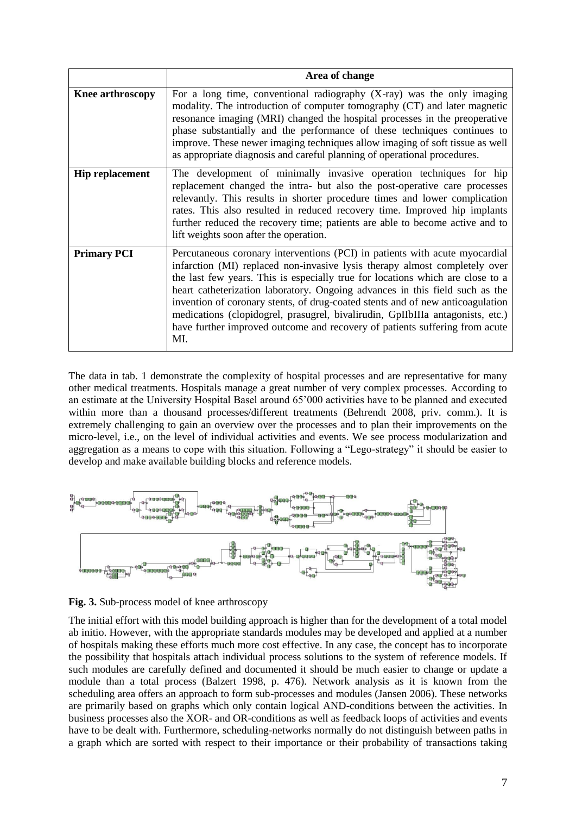|                        | Area of change                                                                                                                                                                                                                                                                                                                                                                                                                                                                                                                                                                        |  |  |  |
|------------------------|---------------------------------------------------------------------------------------------------------------------------------------------------------------------------------------------------------------------------------------------------------------------------------------------------------------------------------------------------------------------------------------------------------------------------------------------------------------------------------------------------------------------------------------------------------------------------------------|--|--|--|
| Knee arthroscopy       | For a long time, conventional radiography $(X-ray)$ was the only imaging<br>modality. The introduction of computer tomography (CT) and later magnetic<br>resonance imaging (MRI) changed the hospital processes in the preoperative<br>phase substantially and the performance of these techniques continues to<br>improve. These newer imaging techniques allow imaging of soft tissue as well<br>as appropriate diagnosis and careful planning of operational procedures.                                                                                                           |  |  |  |
| <b>Hip replacement</b> | The development of minimally invasive operation techniques for hip<br>replacement changed the intra- but also the post-operative care processes<br>relevantly. This results in shorter procedure times and lower complication<br>rates. This also resulted in reduced recovery time. Improved hip implants<br>further reduced the recovery time; patients are able to become active and to<br>lift weights soon after the operation.                                                                                                                                                  |  |  |  |
| <b>Primary PCI</b>     | Percutaneous coronary interventions (PCI) in patients with acute myocardial<br>infarction (MI) replaced non-invasive lysis therapy almost completely over<br>the last few years. This is especially true for locations which are close to a<br>heart catheterization laboratory. Ongoing advances in this field such as the<br>invention of coronary stents, of drug-coated stents and of new anticoagulation<br>medications (clopidogrel, prasugrel, bivalirudin, GpIIbIIIa antagonists, etc.)<br>have further improved outcome and recovery of patients suffering from acute<br>MI. |  |  |  |

The data in tab. 1 demonstrate the complexity of hospital processes and are representative for many other medical treatments. Hospitals manage a great number of very complex processes. According to an estimate at the University Hospital Basel around 65'000 activities have to be planned and executed within more than a thousand processes/different treatments (Behrendt 2008, priv. comm.). It is extremely challenging to gain an overview over the processes and to plan their improvements on the micro-level, i.e., on the level of individual activities and events. We see process modularization and aggregation as a means to cope with this situation. Following a "Lego-strategy" it should be easier to develop and make available building blocks and reference models.



**Fig. 3.** Sub-process model of knee arthroscopy

The initial effort with this model building approach is higher than for the development of a total model ab initio. However, with the appropriate standards modules may be developed and applied at a number of hospitals making these efforts much more cost effective. In any case, the concept has to incorporate the possibility that hospitals attach individual process solutions to the system of reference models. If such modules are carefully defined and documented it should be much easier to change or update a module than a total process (Balzert 1998, p. 476). Network analysis as it is known from the scheduling area offers an approach to form sub-processes and modules (Jansen 2006). These networks are primarily based on graphs which only contain logical AND-conditions between the activities. In business processes also the XOR- and OR-conditions as well as feedback loops of activities and events have to be dealt with. Furthermore, scheduling-networks normally do not distinguish between paths in a graph which are sorted with respect to their importance or their probability of transactions taking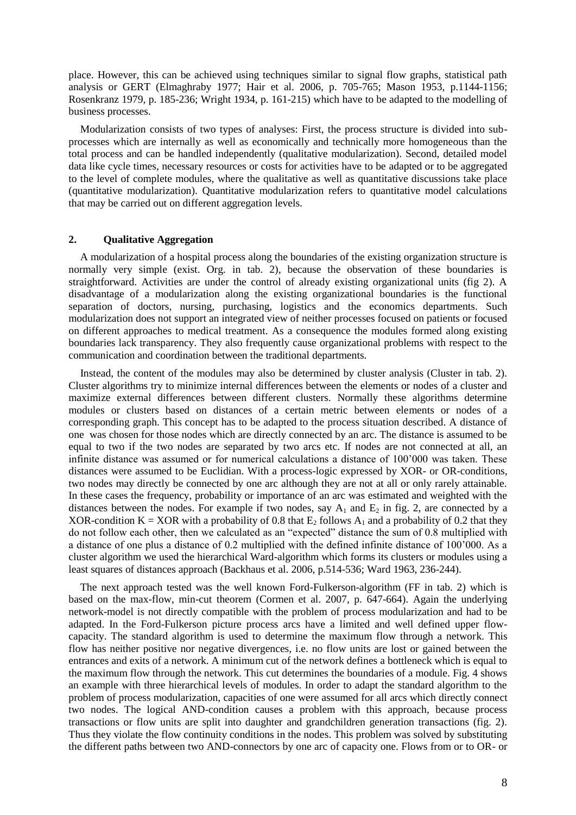place. However, this can be achieved using techniques similar to signal flow graphs, statistical path analysis or GERT (Elmaghraby 1977; Hair et al. 2006, p. 705-765; Mason 1953, p.1144-1156; Rosenkranz 1979, p. 185-236; Wright 1934, p. 161-215) which have to be adapted to the modelling of business processes.

Modularization consists of two types of analyses: First, the process structure is divided into subprocesses which are internally as well as economically and technically more homogeneous than the total process and can be handled independently (qualitative modularization). Second, detailed model data like cycle times, necessary resources or costs for activities have to be adapted or to be aggregated to the level of complete modules, where the qualitative as well as quantitative discussions take place (quantitative modularization). Quantitative modularization refers to quantitative model calculations that may be carried out on different aggregation levels.

## **2. Qualitative Aggregation**

A modularization of a hospital process along the boundaries of the existing organization structure is normally very simple (exist. Org. in tab. 2), because the observation of these boundaries is straightforward. Activities are under the control of already existing organizational units (fig 2). A disadvantage of a modularization along the existing organizational boundaries is the functional separation of doctors, nursing, purchasing, logistics and the economics departments. Such modularization does not support an integrated view of neither processes focused on patients or focused on different approaches to medical treatment. As a consequence the modules formed along existing boundaries lack transparency. They also frequently cause organizational problems with respect to the communication and coordination between the traditional departments.

Instead, the content of the modules may also be determined by cluster analysis (Cluster in tab. 2). Cluster algorithms try to minimize internal differences between the elements or nodes of a cluster and maximize external differences between different clusters. Normally these algorithms determine modules or clusters based on distances of a certain metric between elements or nodes of a corresponding graph. This concept has to be adapted to the process situation described. A distance of one was chosen for those nodes which are directly connected by an arc. The distance is assumed to be equal to two if the two nodes are separated by two arcs etc. If nodes are not connected at all, an infinite distance was assumed or for numerical calculations a distance of 100'000 was taken. These distances were assumed to be Euclidian. With a process-logic expressed by XOR- or OR-conditions, two nodes may directly be connected by one arc although they are not at all or only rarely attainable. In these cases the frequency, probability or importance of an arc was estimated and weighted with the distances between the nodes. For example if two nodes, say  $A_1$  and  $E_2$  in fig. 2, are connected by a XOR-condition K = XOR with a probability of 0.8 that  $E_2$  follows  $A_1$  and a probability of 0.2 that they do not follow each other, then we calculated as an "expected" distance the sum of 0.8 multiplied with a distance of one plus a distance of 0.2 multiplied with the defined infinite distance of 100'000. As a cluster algorithm we used the hierarchical Ward-algorithm which forms its clusters or modules using a least squares of distances approach (Backhaus et al. 2006, p.514-536; Ward 1963, 236-244).

The next approach tested was the well known Ford-Fulkerson-algorithm (FF in tab. 2) which is based on the max-flow, min-cut theorem (Cormen et al. 2007, p. 647-664). Again the underlying network-model is not directly compatible with the problem of process modularization and had to be adapted. In the Ford-Fulkerson picture process arcs have a limited and well defined upper flowcapacity. The standard algorithm is used to determine the maximum flow through a network. This flow has neither positive nor negative divergences, i.e. no flow units are lost or gained between the entrances and exits of a network. A minimum cut of the network defines a bottleneck which is equal to the maximum flow through the network. This cut determines the boundaries of a module. Fig. 4 shows an example with three hierarchical levels of modules. In order to adapt the standard algorithm to the problem of process modularization, capacities of one were assumed for all arcs which directly connect two nodes. The logical AND-condition causes a problem with this approach, because process transactions or flow units are split into daughter and grandchildren generation transactions (fig. 2). Thus they violate the flow continuity conditions in the nodes. This problem was solved by substituting the different paths between two AND-connectors by one arc of capacity one. Flows from or to OR- or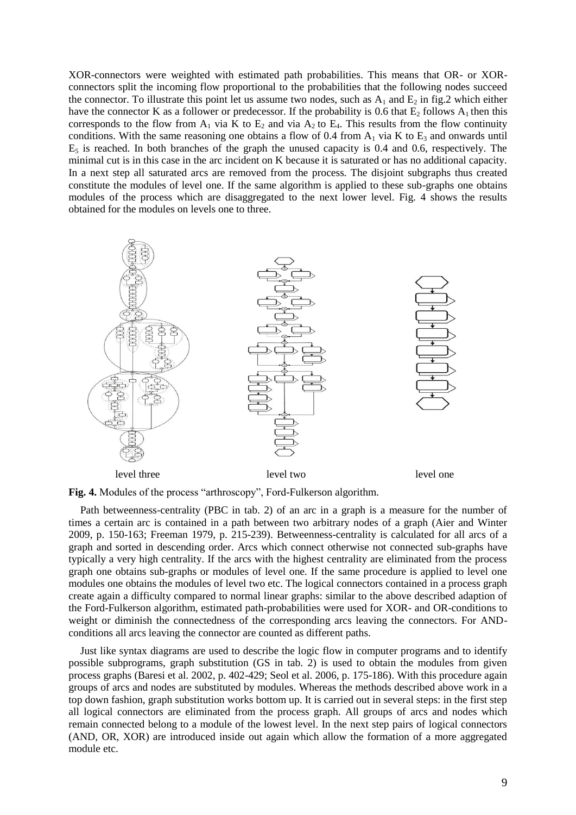XOR-connectors were weighted with estimated path probabilities. This means that OR- or XORconnectors split the incoming flow proportional to the probabilities that the following nodes succeed the connector. To illustrate this point let us assume two nodes, such as  $A_1$  and  $E_2$  in fig.2 which either have the connector K as a follower or predecessor. If the probability is 0.6 that  $E_2$  follows  $A_1$  then this corresponds to the flow from  $A_1$  via K to  $E_2$  and via  $A_2$  to  $E_4$ . This results from the flow continuity conditions. With the same reasoning one obtains a flow of 0.4 from  $A_1$  via K to  $E_3$  and onwards until  $E<sub>5</sub>$  is reached. In both branches of the graph the unused capacity is 0.4 and 0.6, respectively. The minimal cut is in this case in the arc incident on K because it is saturated or has no additional capacity. In a next step all saturated arcs are removed from the process. The disjoint subgraphs thus created constitute the modules of level one. If the same algorithm is applied to these sub-graphs one obtains modules of the process which are disaggregated to the next lower level. Fig. 4 shows the results obtained for the modules on levels one to three.



**Fig. 4.** Modules of the process "arthroscopy", Ford-Fulkerson algorithm.

Path betweenness-centrality (PBC in tab. 2) of an arc in a graph is a measure for the number of times a certain arc is contained in a path between two arbitrary nodes of a graph (Aier and Winter 2009, p. 150-163; Freeman 1979, p. 215-239). Betweenness-centrality is calculated for all arcs of a graph and sorted in descending order. Arcs which connect otherwise not connected sub-graphs have typically a very high centrality. If the arcs with the highest centrality are eliminated from the process graph one obtains sub-graphs or modules of level one. If the same procedure is applied to level one modules one obtains the modules of level two etc. The logical connectors contained in a process graph create again a difficulty compared to normal linear graphs: similar to the above described adaption of the Ford-Fulkerson algorithm, estimated path-probabilities were used for XOR- and OR-conditions to weight or diminish the connectedness of the corresponding arcs leaving the connectors. For ANDconditions all arcs leaving the connector are counted as different paths.

Just like syntax diagrams are used to describe the logic flow in computer programs and to identify possible subprograms, graph substitution (GS in tab. 2) is used to obtain the modules from given process graphs (Baresi et al. 2002, p. 402-429; Seol et al. 2006, p. 175-186). With this procedure again groups of arcs and nodes are substituted by modules. Whereas the methods described above work in a top down fashion, graph substitution works bottom up. It is carried out in several steps: in the first step all logical connectors are eliminated from the process graph. All groups of arcs and nodes which remain connected belong to a module of the lowest level. In the next step pairs of logical connectors (AND, OR, XOR) are introduced inside out again which allow the formation of a more aggregated module etc.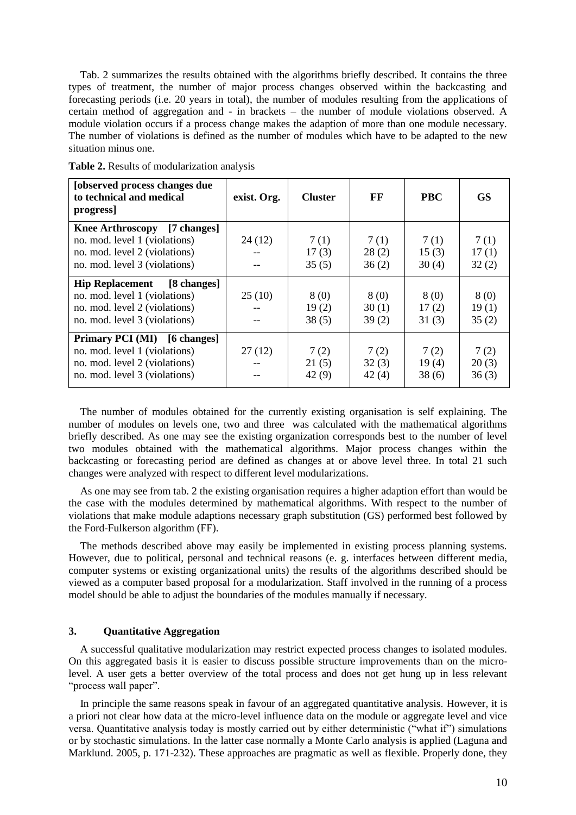Tab. 2 summarizes the results obtained with the algorithms briefly described. It contains the three types of treatment, the number of major process changes observed within the backcasting and forecasting periods (i.e. 20 years in total), the number of modules resulting from the applications of certain method of aggregation and - in brackets – the number of module violations observed. A module violation occurs if a process change makes the adaption of more than one module necessary. The number of violations is defined as the number of modules which have to be adapted to the new situation minus one.

| [observed process changes due<br>to technical and medical<br>progress                                                           | exist. Org. | <b>Cluster</b>         | FF                     | <b>PBC</b>             | <b>GS</b>              |
|---------------------------------------------------------------------------------------------------------------------------------|-------------|------------------------|------------------------|------------------------|------------------------|
| Knee Arthroscopy [7 changes]<br>no. mod. level 1 (violations)<br>no. mod. level 2 (violations)<br>no. mod. level 3 (violations) | 24(12)      | 7(1)<br>17(3)<br>35(5) | 7(1)<br>28(2)<br>36(2) | 7(1)<br>15(3)<br>30(4) | 7(1)<br>17(1)<br>32(2) |
| Hip Replacement [8 changes]<br>no. mod. level 1 (violations)<br>no. mod. level 2 (violations)<br>no. mod. level 3 (violations)  | 25(10)      | 8(0)<br>19(2)<br>38(5) | 8(0)<br>30(1)<br>39(2) | 8(0)<br>17(2)<br>31(3) | 8(0)<br>19(1)<br>35(2) |
| Primary PCI (MI) [6 changes]<br>no. mod. level 1 (violations)<br>no. mod. level 2 (violations)<br>no. mod. level 3 (violations) | 27(12)      | 7(2)<br>21(5)<br>42(9) | 7(2)<br>32(3)<br>42(4) | 7(2)<br>19(4)<br>38(6) | 7(2)<br>20(3)<br>36(3) |

**Table 2.** Results of modularization analysis

The number of modules obtained for the currently existing organisation is self explaining. The number of modules on levels one, two and three was calculated with the mathematical algorithms briefly described. As one may see the existing organization corresponds best to the number of level two modules obtained with the mathematical algorithms. Major process changes within the backcasting or forecasting period are defined as changes at or above level three. In total 21 such changes were analyzed with respect to different level modularizations.

As one may see from tab. 2 the existing organisation requires a higher adaption effort than would be the case with the modules determined by mathematical algorithms. With respect to the number of violations that make module adaptions necessary graph substitution (GS) performed best followed by the Ford-Fulkerson algorithm (FF).

The methods described above may easily be implemented in existing process planning systems. However, due to political, personal and technical reasons (e. g. interfaces between different media, computer systems or existing organizational units) the results of the algorithms described should be viewed as a computer based proposal for a modularization. Staff involved in the running of a process model should be able to adjust the boundaries of the modules manually if necessary.

## **3. Quantitative Aggregation**

A successful qualitative modularization may restrict expected process changes to isolated modules. On this aggregated basis it is easier to discuss possible structure improvements than on the microlevel. A user gets a better overview of the total process and does not get hung up in less relevant "process wall paper".

In principle the same reasons speak in favour of an aggregated quantitative analysis. However, it is a priori not clear how data at the micro-level influence data on the module or aggregate level and vice versa. Quantitative analysis today is mostly carried out by either deterministic ("what if") simulations or by stochastic simulations. In the latter case normally a Monte Carlo analysis is applied (Laguna and Marklund. 2005, p. 171-232). These approaches are pragmatic as well as flexible. Properly done, they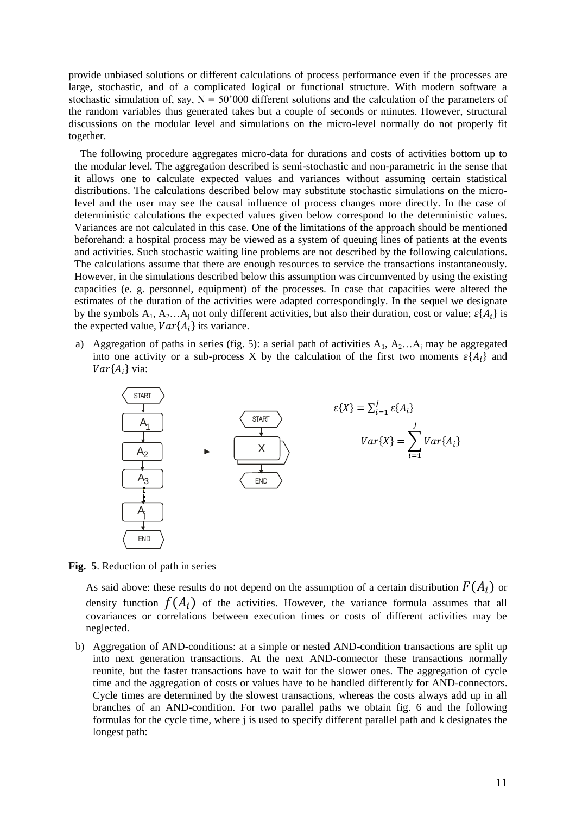provide unbiased solutions or different calculations of process performance even if the processes are large, stochastic, and of a complicated logical or functional structure. With modern software a stochastic simulation of, say,  $N = 50'000$  different solutions and the calculation of the parameters of the random variables thus generated takes but a couple of seconds or minutes. However, structural discussions on the modular level and simulations on the micro-level normally do not properly fit together.

The following procedure aggregates micro-data for durations and costs of activities bottom up to the modular level. The aggregation described is semi-stochastic and non-parametric in the sense that it allows one to calculate expected values and variances without assuming certain statistical distributions. The calculations described below may substitute stochastic simulations on the microlevel and the user may see the causal influence of process changes more directly. In the case of deterministic calculations the expected values given below correspond to the deterministic values. Variances are not calculated in this case. One of the limitations of the approach should be mentioned beforehand: a hospital process may be viewed as a system of queuing lines of patients at the events and activities. Such stochastic waiting line problems are not described by the following calculations. The calculations assume that there are enough resources to service the transactions instantaneously. However, in the simulations described below this assumption was circumvented by using the existing capacities (e. g. personnel, equipment) of the processes. In case that capacities were altered the estimates of the duration of the activities were adapted correspondingly. In the sequel we designate by the symbols  $A_1, A_2... A_j$  not only different activities, but also their duration, cost or value;  $\varepsilon\{A_i\}$  is the expected value,  $Var\{A_i\}$  its variance.

a) Aggregation of paths in series (fig. 5): a serial path of activities  $A_1, A_2...A_j$  may be aggregated into one activity or a sub-process X by the calculation of the first two moments  $\varepsilon$ {A<sub>i</sub>} and  $Var{A_i}$  via:



**Fig. 5**. Reduction of path in series

As said above: these results do not depend on the assumption of a certain distribution  $F(A_i)$  or density function  $f(A_i)$  of the activities. However, the variance formula assumes that all covariances or correlations between execution times or costs of different activities may be neglected.

b) Aggregation of AND-conditions: at a simple or nested AND-condition transactions are split up into next generation transactions. At the next AND-connector these transactions normally reunite, but the faster transactions have to wait for the slower ones. The aggregation of cycle time and the aggregation of costs or values have to be handled differently for AND-connectors. Cycle times are determined by the slowest transactions, whereas the costs always add up in all branches of an AND-condition. For two parallel paths we obtain fig. 6 and the following formulas for the cycle time, where j is used to specify different parallel path and k designates the longest path: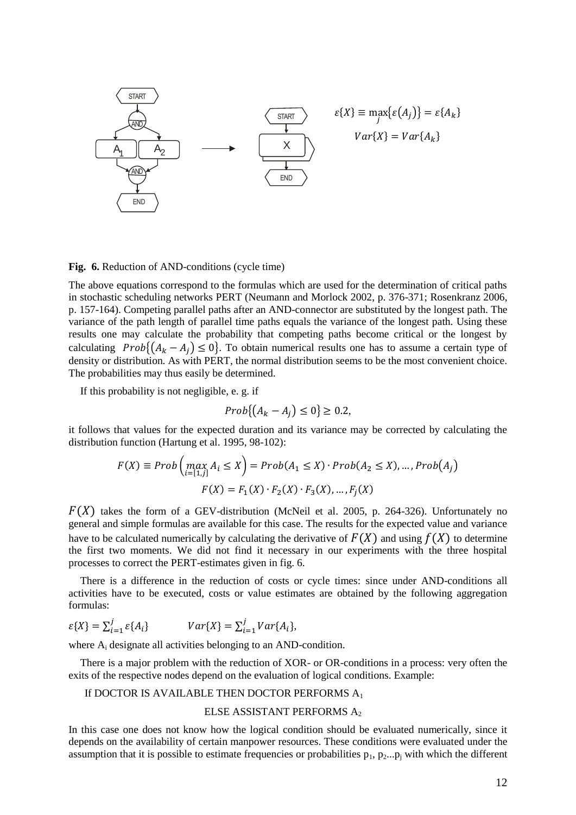| START | SETART | $\varepsilon$ { $X$ } |
|-------|--------|-----------------------|
| A     | A      | A                     |
| A     | A      | A                     |
| AND   | 1      | 1                     |
| END   | 1      | 1                     |

**Fig. 6.** Reduction of AND-conditions (cycle time)

The above equations correspond to the formulas which are used for the determination of critical paths in stochastic scheduling networks PERT (Neumann and Morlock 2002, p. 376-371; Rosenkranz 2006, p. 157-164). Competing parallel paths after an AND-connector are substituted by the longest path. The variance of the path length of parallel time paths equals the variance of the longest path. Using these results one may calculate the probability that competing paths become critical or the longest by calculating  $Prob( (A_k - A_i) \leq 0)$ . To obtain numerical results one has to assume a certain type of density or distribution. As with PERT, the normal distribution seems to be the most convenient choice. The probabilities may thus easily be determined.

If this probability is not negligible, e. g. if

$$
Prob\{(A_k - A_j) \le 0\} \ge 0.2,
$$

it follows that values for the expected duration and its variance may be corrected by calculating the distribution function (Hartung et al. 1995, 98-102):

$$
F(X) \equiv Prob\left(\max_{i=[1,j]} A_i \le X\right) = Prob(A_1 \le X) \cdot Prob(A_2 \le X), \dots, Prob(A_j)
$$

$$
F(X) = F_1(X) \cdot F_2(X) \cdot F_3(X), \dots, F_j(X)
$$

 $F(X)$  takes the form of a GEV-distribution (McNeil et al. 2005, p. 264-326). Unfortunately no general and simple formulas are available for this case. The results for the expected value and variance have to be calculated numerically by calculating the derivative of  $F(X)$  and using  $f(X)$  to determine the first two moments. We did not find it necessary in our experiments with the three hospital processes to correct the PERT-estimates given in fig. 6.

There is a difference in the reduction of costs or cycle times: since under AND-conditions all activities have to be executed, costs or value estimates are obtained by the following aggregation formulas:

$$
\varepsilon\{X\} = \sum_{i=1}^{j} \varepsilon\{A_i\} \qquad Var\{X\} = \sum_{i=1}^{j} Var\{A_i\},
$$

where A<sub>i</sub> designate all activities belonging to an AND-condition.

There is a major problem with the reduction of XOR- or OR-conditions in a process: very often the exits of the respective nodes depend on the evaluation of logical conditions. Example:

#### If DOCTOR IS AVAILABLE THEN DOCTOR PERFORMS A<sup>1</sup>

#### ELSE ASSISTANT PERFORMS A<sup>2</sup>

In this case one does not know how the logical condition should be evaluated numerically, since it depends on the availability of certain manpower resources. These conditions were evaluated under the assumption that it is possible to estimate frequencies or probabilities  $p_1$ ,  $p_2...p_j$  with which the different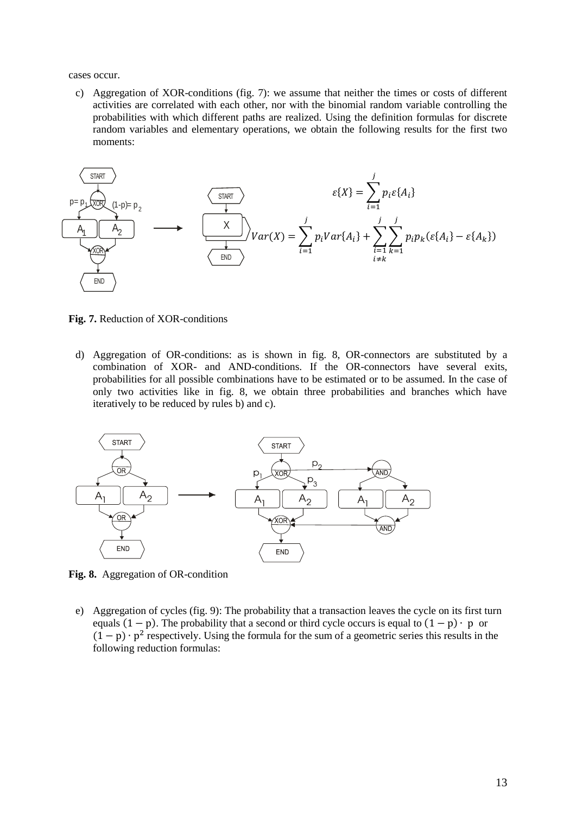cases occur.

c) Aggregation of XOR-conditions (fig. 7): we assume that neither the times or costs of different activities are correlated with each other, nor with the binomial random variable controlling the probabilities with which different paths are realized. Using the definition formulas for discrete random variables and elementary operations, we obtain the following results for the first two moments:



**Fig. 7.** Reduction of XOR-conditions

d) Aggregation of OR-conditions: as is shown in fig. 8, OR-connectors are substituted by a combination of XOR- and AND-conditions. If the OR-connectors have several exits, probabilities for all possible combinations have to be estimated or to be assumed. In the case of only two activities like in fig. 8, we obtain three probabilities and branches which have iteratively to be reduced by rules b) and c).



**Fig. 8.** Aggregation of OR-condition

e) Aggregation of cycles (fig. 9): The probability that a transaction leaves the cycle on its first turn equals  $(1 - p)$ . The probability that a second or third cycle occurs is equal to  $(1 - p) \cdot p$  or  $(1-p) \cdot p^2$  respectively. Using the formula for the sum of a geometric series this results in the following reduction formulas: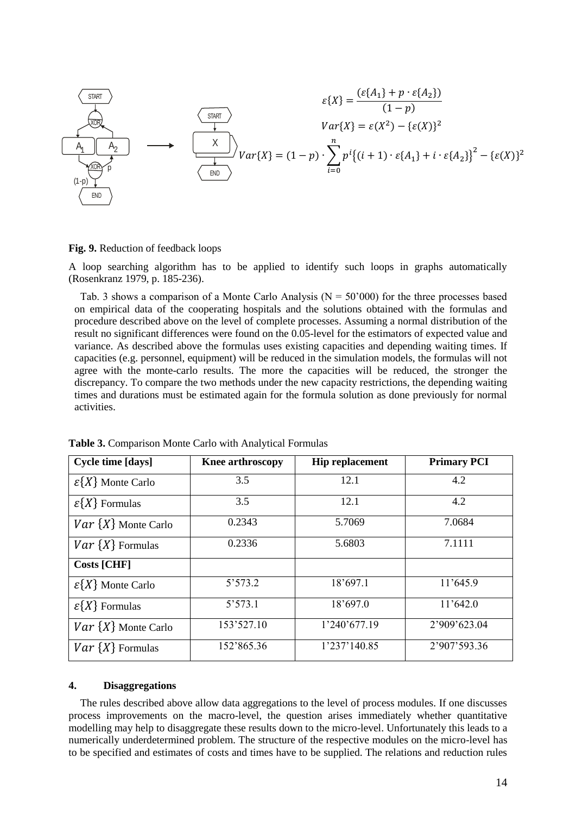$$
\begin{array}{ccc}\n\text{START} & & \varepsilon\{X\} = \frac{(\varepsilon\{A_1\} + p \cdot \varepsilon\{A_2\})}{(1-p)} \\
\hline\n\downarrow & & \varepsilon\{X\} = \varepsilon(X^2) - \{\varepsilon(X)\}^2 \\
\hline\n\downarrow & & \varepsilon\{X\} = \varepsilon(X^2) - \{\varepsilon(X)\}^2 \\
\hline\n\downarrow & & \varepsilon\{X\} = \varepsilon(X^2) - \{\varepsilon(X)\}^2 \\
\hline\n\downarrow & & \varepsilon\{X\} = \varepsilon(X^2) - \{\varepsilon(X)\}^2 \\
\hline\n\downarrow & & \varepsilon\{X\} = \varepsilon(X^2) - \{\varepsilon(X)\}^2 \\
\hline\n\downarrow & & \varepsilon\{X\} = \varepsilon(X^2) - \{\varepsilon(X)\}^2 \\
\hline\n\downarrow & & \varepsilon\{X\} = \varepsilon(X^2) - \{\varepsilon(X)\}^2 \\
\hline\n\downarrow & & \varepsilon\{X\} = \varepsilon(X^2) - \{\varepsilon(X)\}^2 \\
\hline\n\downarrow & & \varepsilon\{X\} = \varepsilon(X^2) - \{\varepsilon(X)\}^2 \\
\hline\n\downarrow & & \varepsilon\{X\} = \varepsilon(X^2) - \{\varepsilon(X)\}^2 \\
\hline\n\downarrow & & \varepsilon\{X\} = \varepsilon(X^2) - \{\varepsilon(X)\}^2 \\
\hline\n\downarrow & & \varepsilon\{X\} = \varepsilon(X^2) - \{\varepsilon(X)\}^2 \\
\hline\n\downarrow & & \varepsilon\{X\} = \varepsilon(X^2) - \{\varepsilon(X)\}^2 \\
\hline\n\downarrow & & \varepsilon\{X\} = \varepsilon(X^2) - \{\varepsilon(X)\}^2 \\
\hline\n\downarrow & & \varepsilon\{X\} = \varepsilon(X^2) - \{\varepsilon(X)\}^2 \\
\hline\n\downarrow & & \varepsilon\{X\} = \varepsilon(X^2) - \{\varepsilon(X)\}^2 \\
\hline\n\downarrow
$$

**Fig. 9.** Reduction of feedback loops

A loop searching algorithm has to be applied to identify such loops in graphs automatically (Rosenkranz 1979, p. 185-236).

Tab. 3 shows a comparison of a Monte Carlo Analysis ( $N = 50'000$ ) for the three processes based on empirical data of the cooperating hospitals and the solutions obtained with the formulas and procedure described above on the level of complete processes. Assuming a normal distribution of the result no significant differences were found on the 0.05-level for the estimators of expected value and variance. As described above the formulas uses existing capacities and depending waiting times. If capacities (e.g. personnel, equipment) will be reduced in the simulation models, the formulas will not agree with the monte-carlo results. The more the capacities will be reduced, the stronger the discrepancy. To compare the two methods under the new capacity restrictions, the depending waiting times and durations must be estimated again for the formula solution as done previously for normal activities.

| <b>Cycle time [days]</b>       | <b>Knee arthroscopy</b> | <b>Hip replacement</b> | <b>Primary PCI</b> |
|--------------------------------|-------------------------|------------------------|--------------------|
| $\mathcal{E}\{X\}$ Monte Carlo | 3.5                     | 12.1                   | 4.2                |
| $\varepsilon\{X\}$ Formulas    | 3.5                     | 12.1                   | 4.2                |
| $Var\{X\}$ Monte Carlo         | 0.2343                  | 5.7069                 | 7.0684             |
| $Var\{X\}$ Formulas            | 0.2336                  | 5.6803                 | 7.1111             |
| <b>Costs [CHF]</b>             |                         |                        |                    |
| $\mathcal{E}\{X\}$ Monte Carlo | 5'573.2                 | 18'697.1               | 11'645.9           |
| $\varepsilon\{X\}$ Formulas    | 5'573.1                 | 18'697.0               | 11'642.0           |
| $Var\{X\}$ Monte Carlo         | 153'527.10              | 1'240'677.19           | 2'909'623.04       |
| $Var\{X\}$ Formulas            | 152'865.36              | 1'237'140.85           | 2'907'593.36       |

**Table 3.** Comparison Monte Carlo with Analytical Formulas

#### **4. Disaggregations**

The rules described above allow data aggregations to the level of process modules. If one discusses process improvements on the macro-level, the question arises immediately whether quantitative modelling may help to disaggregate these results down to the micro-level. Unfortunately this leads to a numerically underdetermined problem. The structure of the respective modules on the micro-level has to be specified and estimates of costs and times have to be supplied. The relations and reduction rules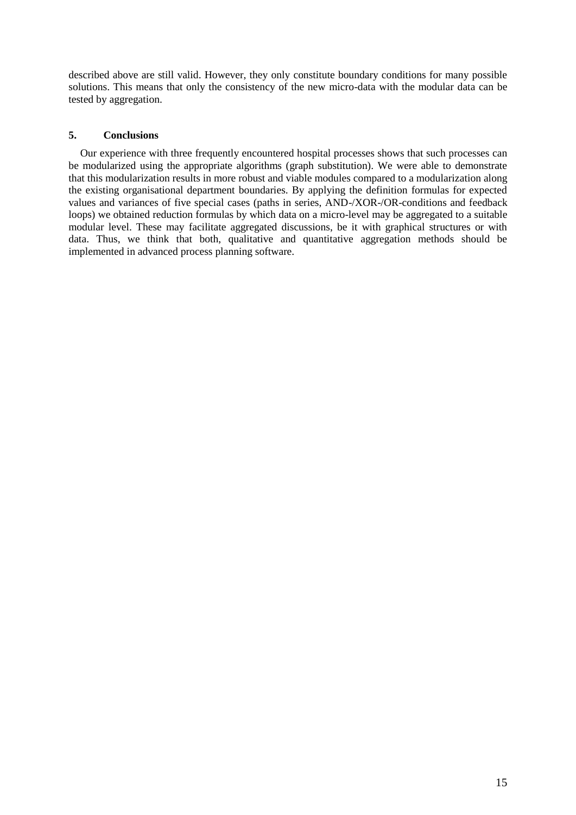described above are still valid. However, they only constitute boundary conditions for many possible solutions. This means that only the consistency of the new micro-data with the modular data can be tested by aggregation.

## **5. Conclusions**

Our experience with three frequently encountered hospital processes shows that such processes can be modularized using the appropriate algorithms (graph substitution). We were able to demonstrate that this modularization results in more robust and viable modules compared to a modularization along the existing organisational department boundaries. By applying the definition formulas for expected values and variances of five special cases (paths in series, AND-/XOR-/OR-conditions and feedback loops) we obtained reduction formulas by which data on a micro-level may be aggregated to a suitable modular level. These may facilitate aggregated discussions, be it with graphical structures or with data. Thus, we think that both, qualitative and quantitative aggregation methods should be implemented in advanced process planning software.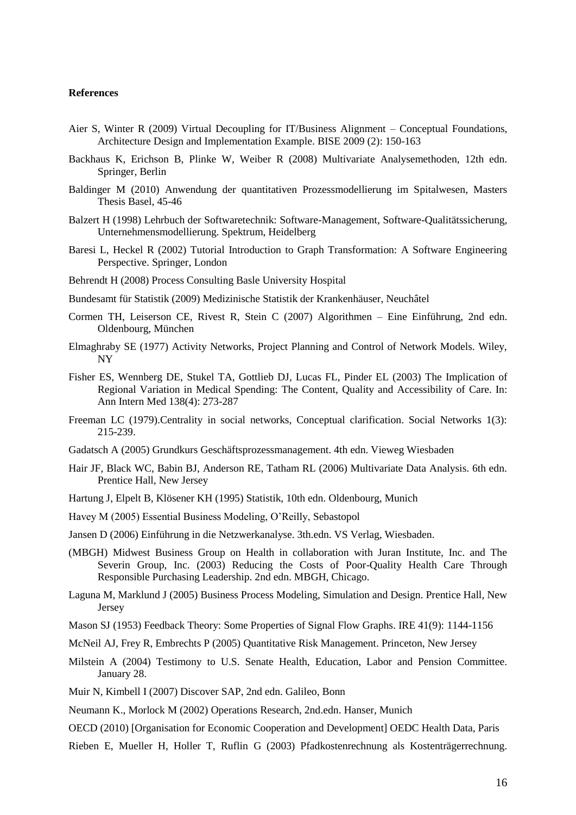#### **References**

- Aier S, Winter R (2009) Virtual Decoupling for IT/Business Alignment Conceptual Foundations, Architecture Design and Implementation Example. BISE 2009 (2): 150-163
- Backhaus K, Erichson B, Plinke W, Weiber R (2008) Multivariate Analysemethoden, 12th edn. Springer, Berlin
- Baldinger M (2010) Anwendung der quantitativen Prozessmodellierung im Spitalwesen, Masters Thesis Basel, 45-46
- Balzert H (1998) Lehrbuch der Softwaretechnik: Software-Management, Software-Qualitätssicherung, Unternehmensmodellierung. Spektrum, Heidelberg
- Baresi L, Heckel R (2002) Tutorial Introduction to Graph Transformation: A Software Engineering Perspective. Springer, London
- Behrendt H (2008) Process Consulting Basle University Hospital
- Bundesamt für Statistik (2009) Medizinische Statistik der Krankenhäuser, Neuchâtel
- Cormen TH, Leiserson CE, Rivest R, Stein C (2007) Algorithmen Eine Einführung, 2nd edn. Oldenbourg, München
- Elmaghraby SE (1977) Activity Networks, Project Planning and Control of Network Models. Wiley, NY
- Fisher ES, Wennberg DE, Stukel TA, Gottlieb DJ, Lucas FL, Pinder EL (2003) The Implication of Regional Variation in Medical Spending: The Content, Quality and Accessibility of Care. In: Ann Intern Med 138(4): 273-287
- Freeman LC (1979).Centrality in social networks, Conceptual clarification. Social Networks 1(3): 215-239.
- Gadatsch A (2005) Grundkurs Geschäftsprozessmanagement. 4th edn. Vieweg Wiesbaden
- Hair JF, Black WC, Babin BJ, Anderson RE, Tatham RL (2006) Multivariate Data Analysis. 6th edn. Prentice Hall, New Jersey
- Hartung J, Elpelt B, Klösener KH (1995) Statistik, 10th edn. Oldenbourg, Munich
- Havey M (2005) Essential Business Modeling, O'Reilly, Sebastopol
- Jansen D (2006) Einführung in die Netzwerkanalyse. 3th.edn. VS Verlag, Wiesbaden.
- (MBGH) Midwest Business Group on Health in collaboration with Juran Institute, Inc. and The Severin Group, Inc. (2003) Reducing the Costs of Poor-Quality Health Care Through Responsible Purchasing Leadership. 2nd edn. MBGH, Chicago.
- Laguna M, Marklund J (2005) Business Process Modeling, Simulation and Design. Prentice Hall, New Jersey
- Mason SJ (1953) Feedback Theory: Some Properties of Signal Flow Graphs. IRE 41(9): 1144-1156
- McNeil AJ, Frey R, Embrechts P (2005) Quantitative Risk Management. Princeton, New Jersey
- Milstein A (2004) Testimony to U.S. Senate Health, Education, Labor and Pension Committee. January 28.
- Muir N, Kimbell I (2007) Discover SAP, 2nd edn. Galileo, Bonn

Neumann K., Morlock M (2002) Operations Research, 2nd.edn. Hanser, Munich

OECD (2010) [Organisation for Economic Cooperation and Development] OEDC Health Data, Paris

Rieben E, Mueller H, Holler T, Ruflin G (2003) Pfadkostenrechnung als Kostenträgerrechnung.